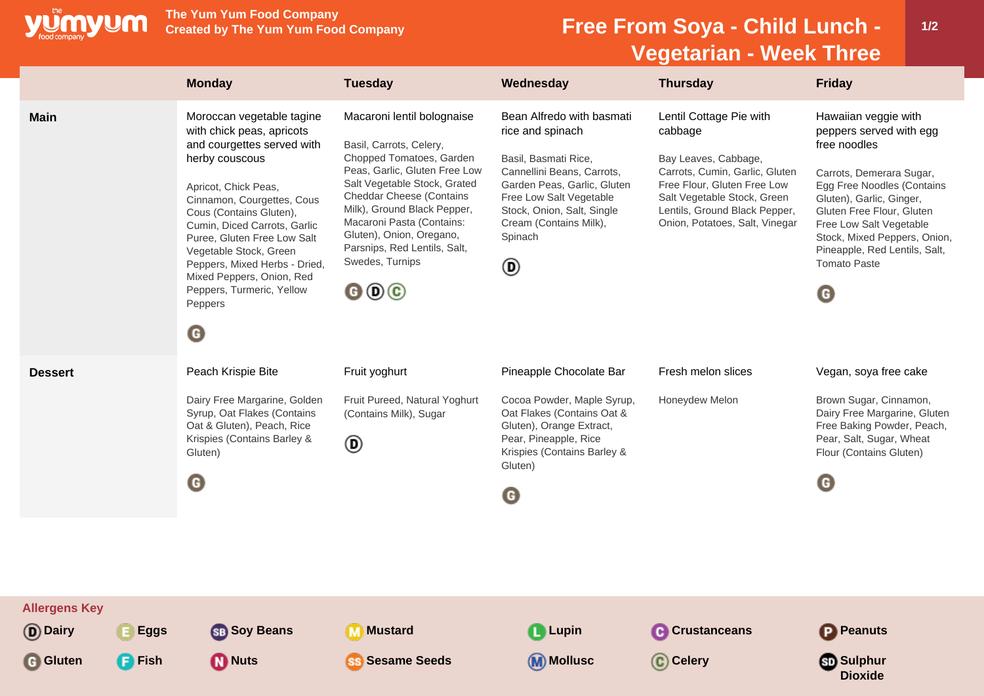

**The Yum Yum Food Company**

## **Free From Soya - Child Lunch -Vegetarian - Week Three**

|                                                                       | <b>Monday</b>                                                                                                                                                                                                                                                                                                                                                                                                   | <b>Tuesday</b>                                                                                                                                                                                                                                                                                                                                                                        | Wednesday                                                                                                                                                                                                                             | <b>Thursday</b>                                                                                                                                                                                                               | <b>Friday</b>                                                                                                                                                                                                                                                                                              |
|-----------------------------------------------------------------------|-----------------------------------------------------------------------------------------------------------------------------------------------------------------------------------------------------------------------------------------------------------------------------------------------------------------------------------------------------------------------------------------------------------------|---------------------------------------------------------------------------------------------------------------------------------------------------------------------------------------------------------------------------------------------------------------------------------------------------------------------------------------------------------------------------------------|---------------------------------------------------------------------------------------------------------------------------------------------------------------------------------------------------------------------------------------|-------------------------------------------------------------------------------------------------------------------------------------------------------------------------------------------------------------------------------|------------------------------------------------------------------------------------------------------------------------------------------------------------------------------------------------------------------------------------------------------------------------------------------------------------|
| <b>Main</b>                                                           | Moroccan vegetable tagine<br>with chick peas, apricots<br>and courgettes served with<br>herby couscous<br>Apricot, Chick Peas,<br>Cinnamon, Courgettes, Cous<br>Cous (Contains Gluten),<br>Cumin, Diced Carrots, Garlic<br>Puree, Gluten Free Low Salt<br>Vegetable Stock, Green<br>Peppers, Mixed Herbs - Dried,<br>Mixed Peppers, Onion, Red<br>Peppers, Turmeric, Yellow<br>Peppers<br>$\boldsymbol{\Theta}$ | Macaroni lentil bolognaise<br>Basil, Carrots, Celery,<br>Chopped Tomatoes, Garden<br>Peas, Garlic, Gluten Free Low<br>Salt Vegetable Stock, Grated<br><b>Cheddar Cheese (Contains</b><br>Milk), Ground Black Pepper,<br>Macaroni Pasta (Contains:<br>Gluten), Onion, Oregano,<br>Parsnips, Red Lentils, Salt,<br>Swedes, Turnips<br>$\mathbf{\Theta} \mathbf{\Theta} \mathbf{\Theta}$ | Bean Alfredo with basmati<br>rice and spinach<br>Basil, Basmati Rice,<br>Cannellini Beans, Carrots,<br>Garden Peas, Garlic, Gluten<br>Free Low Salt Vegetable<br>Stock, Onion, Salt, Single<br>Cream (Contains Milk),<br>Spinach<br>◉ | Lentil Cottage Pie with<br>cabbage<br>Bay Leaves, Cabbage,<br>Carrots, Cumin, Garlic, Gluten<br>Free Flour, Gluten Free Low<br>Salt Vegetable Stock, Green<br>Lentils, Ground Black Pepper,<br>Onion, Potatoes, Salt, Vinegar | Hawaiian veggie with<br>peppers served with egg<br>free noodles<br>Carrots, Demerara Sugar,<br>Egg Free Noodles (Contains<br>Gluten), Garlic, Ginger,<br>Gluten Free Flour, Gluten<br>Free Low Salt Vegetable<br>Stock, Mixed Peppers, Onion,<br>Pineapple, Red Lentils, Salt,<br><b>Tomato Paste</b><br>O |
| <b>Dessert</b>                                                        | Peach Krispie Bite<br>Dairy Free Margarine, Golden<br>Syrup, Oat Flakes (Contains<br>Oat & Gluten), Peach, Rice<br>Krispies (Contains Barley &<br>Gluten)<br>O                                                                                                                                                                                                                                                  | Fruit yoghurt<br>Fruit Pureed, Natural Yoghurt<br>(Contains Milk), Sugar<br>◉                                                                                                                                                                                                                                                                                                         | Pineapple Chocolate Bar<br>Cocoa Powder, Maple Syrup,<br>Oat Flakes (Contains Oat &<br>Gluten), Orange Extract,<br>Pear, Pineapple, Rice<br>Krispies (Contains Barley &<br>Gluten)<br>$\mathbf G$                                     | Fresh melon slices<br>Honeydew Melon                                                                                                                                                                                          | Vegan, soya free cake<br>Brown Sugar, Cinnamon,<br>Dairy Free Margarine, Gluten<br>Free Baking Powder, Peach,<br>Pear, Salt, Sugar, Wheat<br>Flour (Contains Gluten)<br>O                                                                                                                                  |
| <b>Allergens Key</b><br>(D) Dairy<br><b>G</b> Gluten<br><b>F</b> Fish | <b>SB</b> Soy Beans<br>E Eggs<br><b>Muts</b>                                                                                                                                                                                                                                                                                                                                                                    | <b>M</b> Mustard<br>ss Sesame Seeds                                                                                                                                                                                                                                                                                                                                                   | <b>Q</b> Lupin<br><b>M</b> Mollusc                                                                                                                                                                                                    | <b>C</b> Crustanceans<br>C Celery                                                                                                                                                                                             | <b>P</b> Peanuts<br><b>Sulphur</b><br><b>Dioxide</b>                                                                                                                                                                                                                                                       |